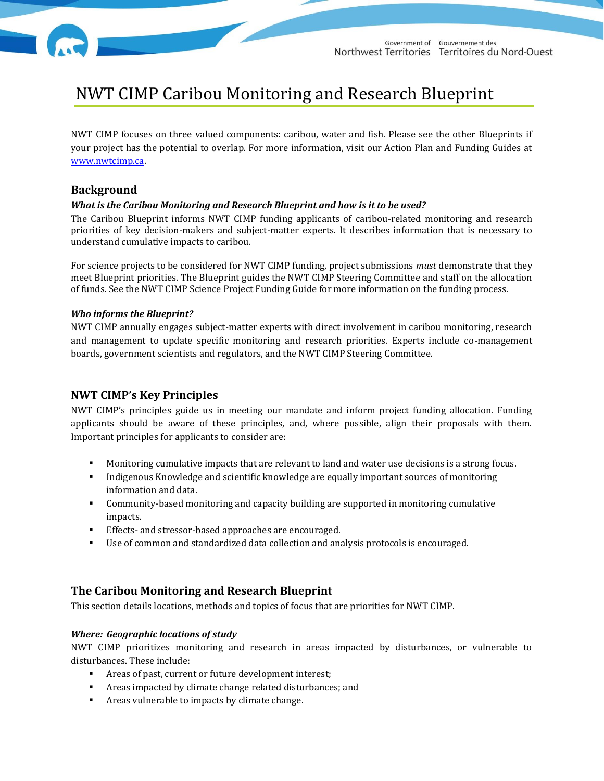# NWT CIMP Caribou Monitoring and Research Blueprint

NWT CIMP focuses on three valued components: caribou, water and fish. Please see the other Blueprints if your project has the potential to overlap. For more information, visit our Action Plan and Funding Guides at [www.nwtcimp.ca.](http://www.nwtcimp.ca/)

## **Background**

#### *What is the Caribou Monitoring and Research Blueprint and how is it to be used?*

The Caribou Blueprint informs NWT CIMP funding applicants of caribou-related monitoring and research priorities of key decision-makers and subject-matter experts. It describes information that is necessary to understand cumulative impacts to caribou.

For science projects to be considered for NWT CIMP funding, project submissions *must* demonstrate that they meet Blueprint priorities. The Blueprint guides the NWT CIMP Steering Committee and staff on the allocation of funds. See the NWT CIMP Science Project Funding Guide for more information on the funding process.

#### *Who informs the Blueprint?*

NWT CIMP annually engages subject-matter experts with direct involvement in caribou monitoring, research and management to update specific monitoring and research priorities. Experts include co-management boards, government scientists and regulators, and the NWT CIMP Steering Committee.

# **NWT CIMP's Key Principles**

NWT CIMP's principles guide us in meeting our mandate and inform project funding allocation. Funding applicants should be aware of these principles, and, where possible, align their proposals with them. Important principles for applicants to consider are:

- Monitoring cumulative impacts that are relevant to land and water use decisions is a strong focus.
- Indigenous Knowledge and scientific knowledge are equally important sources of monitoring information and data.
- Community-based monitoring and capacity building are supported in monitoring cumulative impacts.
- **Effects- and stressor-based approaches are encouraged.**
- Use of common and standardized data collection and analysis protocols is encouraged.

## **The Caribou Monitoring and Research Blueprint**

This section details locations, methods and topics of focus that are priorities for NWT CIMP.

#### *Where: Geographic locations of study*

NWT CIMP prioritizes monitoring and research in areas impacted by disturbances, or vulnerable to disturbances. These include:

- Areas of past, current or future development interest;
- Areas impacted by climate change related disturbances; and
- Areas vulnerable to impacts by climate change.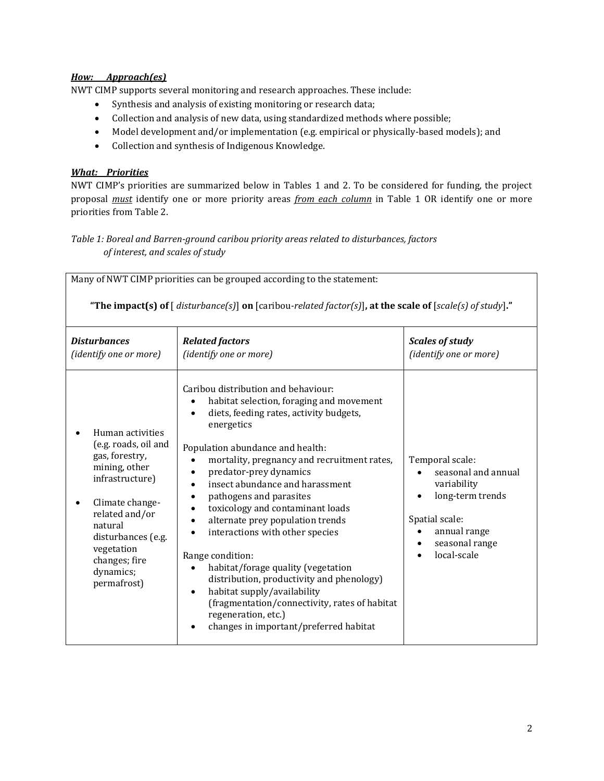## *How: Approach(es)*

NWT CIMP supports several monitoring and research approaches. These include:

- Synthesis and analysis of existing monitoring or research data;
- Collection and analysis of new data, using standardized methods where possible;
- Model development and/or implementation (e.g. empirical or physically-based models); and
- Collection and synthesis of Indigenous Knowledge.

## *What: Priorities*

NWT CIMP's priorities are summarized below in Tables 1 and 2. To be considered for funding, the project proposal *must* identify one or more priority areas *from each column* in Table 1 OR identify one or more priorities from Table 2.

## *Table 1: Boreal and Barren-ground caribou priority areas related to disturbances, factors of interest, and scales of study*

| Many of NWT CIMP priorities can be grouped according to the statement:<br>"The impact(s) of $\lceil$ disturbance(s) $\lceil$ on $\lceil$ caribou-related factor(s) $\lceil$ , at the scale of $\lceil$ scale(s) of study)."     |                                                                                                                                                                                                                                                                                                                                                                                                                                                                                                                                                                                                                                                                                                                                                              |                                                                                                                                              |
|---------------------------------------------------------------------------------------------------------------------------------------------------------------------------------------------------------------------------------|--------------------------------------------------------------------------------------------------------------------------------------------------------------------------------------------------------------------------------------------------------------------------------------------------------------------------------------------------------------------------------------------------------------------------------------------------------------------------------------------------------------------------------------------------------------------------------------------------------------------------------------------------------------------------------------------------------------------------------------------------------------|----------------------------------------------------------------------------------------------------------------------------------------------|
| <b>Disturbances</b><br>(identify one or more)                                                                                                                                                                                   | <b>Related factors</b><br>(identify one or more)                                                                                                                                                                                                                                                                                                                                                                                                                                                                                                                                                                                                                                                                                                             | <b>Scales of study</b><br>(identify one or more)                                                                                             |
| Human activities<br>(e.g. roads, oil and<br>gas, forestry,<br>mining, other<br>infrastructure)<br>Climate change-<br>related and/or<br>natural<br>disturbances (e.g.<br>vegetation<br>changes; fire<br>dynamics;<br>permafrost) | Caribou distribution and behaviour:<br>habitat selection, foraging and movement<br>diets, feeding rates, activity budgets,<br>$\bullet$<br>energetics<br>Population abundance and health:<br>mortality, pregnancy and recruitment rates,<br>$\bullet$<br>predator-prey dynamics<br>$\bullet$<br>insect abundance and harassment<br>pathogens and parasites<br>toxicology and contaminant loads<br>alternate prey population trends<br>$\bullet$<br>interactions with other species<br>٠<br>Range condition:<br>habitat/forage quality (vegetation<br>$\bullet$<br>distribution, productivity and phenology)<br>habitat supply/availability<br>(fragmentation/connectivity, rates of habitat<br>regeneration, etc.)<br>changes in important/preferred habitat | Temporal scale:<br>seasonal and annual<br>variability<br>long-term trends<br>Spatial scale:<br>annual range<br>seasonal range<br>local-scale |